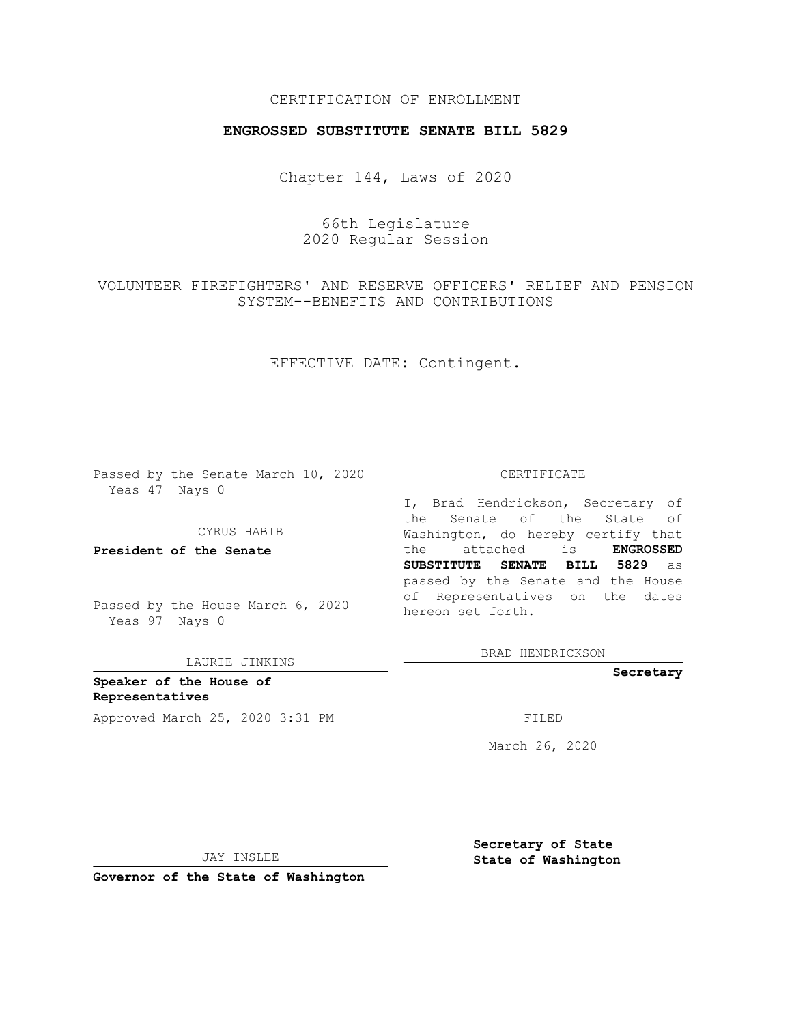## CERTIFICATION OF ENROLLMENT

### **ENGROSSED SUBSTITUTE SENATE BILL 5829**

Chapter 144, Laws of 2020

66th Legislature 2020 Regular Session

VOLUNTEER FIREFIGHTERS' AND RESERVE OFFICERS' RELIEF AND PENSION SYSTEM--BENEFITS AND CONTRIBUTIONS

## EFFECTIVE DATE: Contingent.

Passed by the Senate March 10, 2020 Yeas 47 Nays 0

CYRUS HABIB

**President of the Senate**

Passed by the House March 6, 2020 Yeas 97 Nays 0

LAURIE JINKINS

**Speaker of the House of Representatives** Approved March 25, 2020 3:31 PM

#### CERTIFICATE

I, Brad Hendrickson, Secretary of the Senate of the State of Washington, do hereby certify that the attached is **ENGROSSED SUBSTITUTE SENATE BILL 5829** as passed by the Senate and the House of Representatives on the dates hereon set forth.

BRAD HENDRICKSON

**Secretary**

March 26, 2020

JAY INSLEE

**Secretary of State State of Washington**

**Governor of the State of Washington**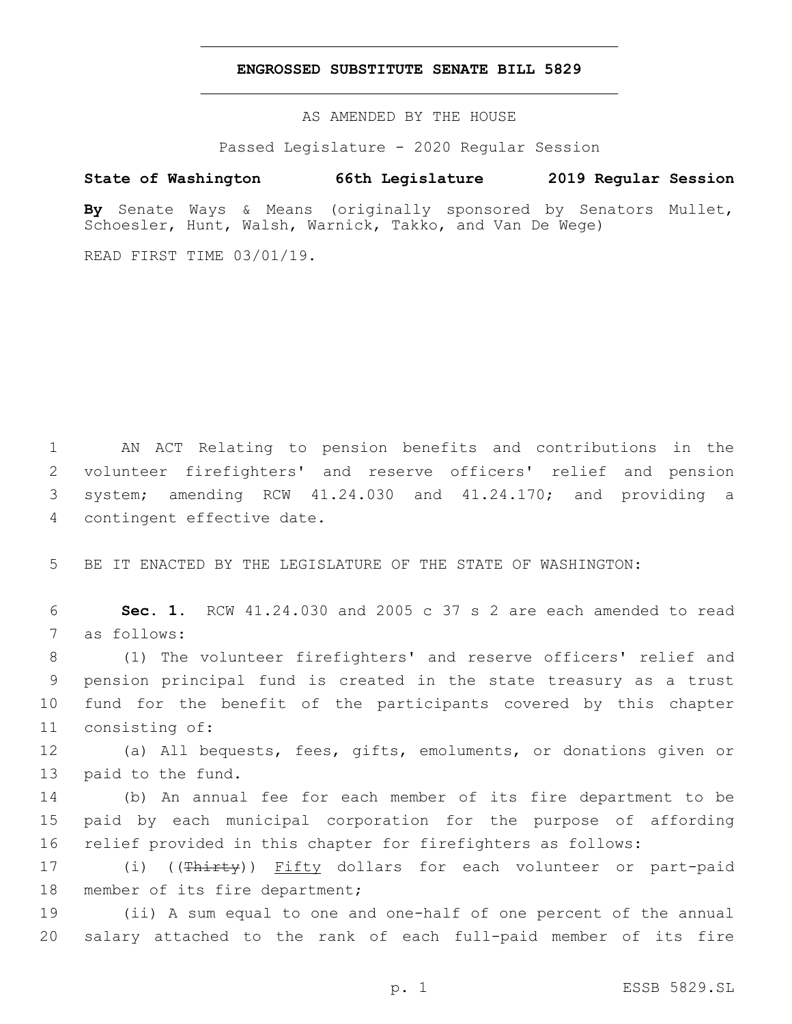### **ENGROSSED SUBSTITUTE SENATE BILL 5829**

AS AMENDED BY THE HOUSE

Passed Legislature - 2020 Regular Session

# **State of Washington 66th Legislature 2019 Regular Session**

**By** Senate Ways & Means (originally sponsored by Senators Mullet, Schoesler, Hunt, Walsh, Warnick, Takko, and Van De Wege)

READ FIRST TIME 03/01/19.

 AN ACT Relating to pension benefits and contributions in the volunteer firefighters' and reserve officers' relief and pension system; amending RCW 41.24.030 and 41.24.170; and providing a 4 contingent effective date.

5 BE IT ENACTED BY THE LEGISLATURE OF THE STATE OF WASHINGTON:

6 **Sec. 1.** RCW 41.24.030 and 2005 c 37 s 2 are each amended to read 7 as follows:

 (1) The volunteer firefighters' and reserve officers' relief and pension principal fund is created in the state treasury as a trust fund for the benefit of the participants covered by this chapter 11 consisting of:

12 (a) All bequests, fees, gifts, emoluments, or donations given or 13 paid to the fund.

14 (b) An annual fee for each member of its fire department to be 15 paid by each municipal corporation for the purpose of affording 16 relief provided in this chapter for firefighters as follows:

17 (i) ((<del>Thirty</del>)) Fifty dollars for each volunteer or part-paid 18 member of its fire department;

19 (ii) A sum equal to one and one-half of one percent of the annual 20 salary attached to the rank of each full-paid member of its fire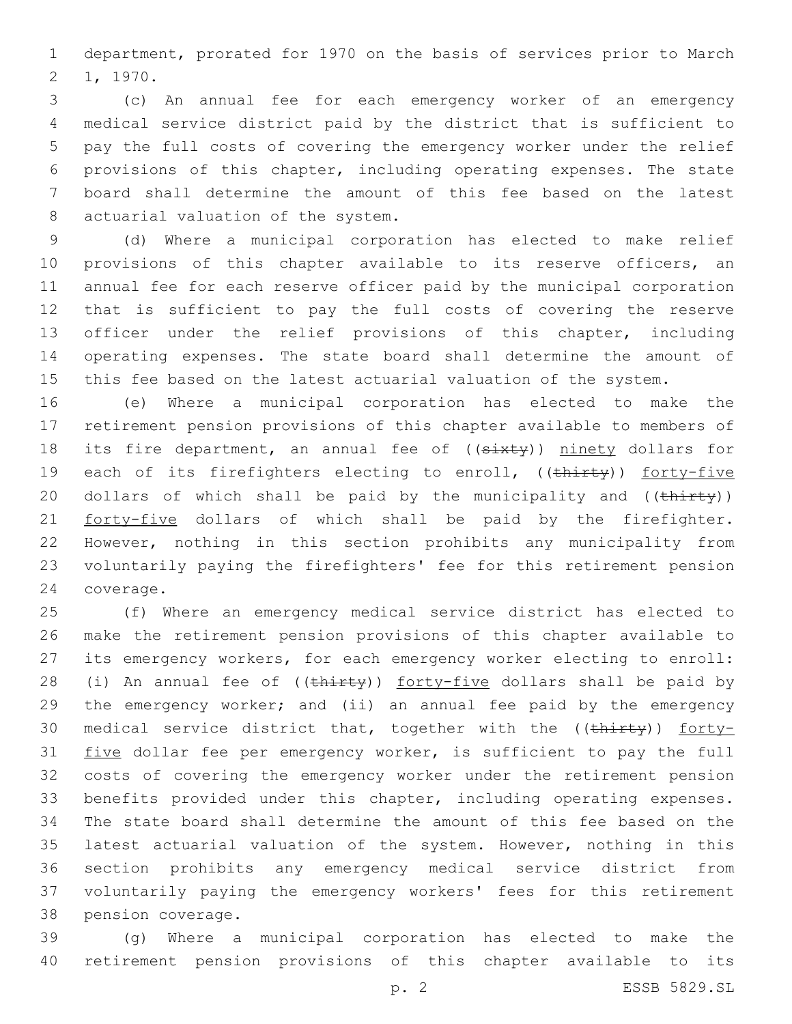department, prorated for 1970 on the basis of services prior to March 2 1, 1970.

 (c) An annual fee for each emergency worker of an emergency medical service district paid by the district that is sufficient to pay the full costs of covering the emergency worker under the relief provisions of this chapter, including operating expenses. The state board shall determine the amount of this fee based on the latest 8 actuarial valuation of the system.

 (d) Where a municipal corporation has elected to make relief provisions of this chapter available to its reserve officers, an annual fee for each reserve officer paid by the municipal corporation that is sufficient to pay the full costs of covering the reserve officer under the relief provisions of this chapter, including operating expenses. The state board shall determine the amount of this fee based on the latest actuarial valuation of the system.

 (e) Where a municipal corporation has elected to make the retirement pension provisions of this chapter available to members of 18 its fire department, an annual fee of ((sixty)) ninety dollars for 19 each of its firefighters electing to enroll, ((thirty)) forty-five 20 dollars of which shall be paid by the municipality and ((thirty)) 21 forty-five dollars of which shall be paid by the firefighter. However, nothing in this section prohibits any municipality from voluntarily paying the firefighters' fee for this retirement pension 24 coverage.

 (f) Where an emergency medical service district has elected to make the retirement pension provisions of this chapter available to its emergency workers, for each emergency worker electing to enroll: 28 (i) An annual fee of ((thirty)) forty-five dollars shall be paid by the emergency worker; and (ii) an annual fee paid by the emergency 30 medical service district that, together with the  $((\text{thirty}))$  forty-31 five dollar fee per emergency worker, is sufficient to pay the full costs of covering the emergency worker under the retirement pension benefits provided under this chapter, including operating expenses. The state board shall determine the amount of this fee based on the latest actuarial valuation of the system. However, nothing in this section prohibits any emergency medical service district from voluntarily paying the emergency workers' fees for this retirement 38 pension coverage.

 (g) Where a municipal corporation has elected to make the retirement pension provisions of this chapter available to its

p. 2 ESSB 5829.SL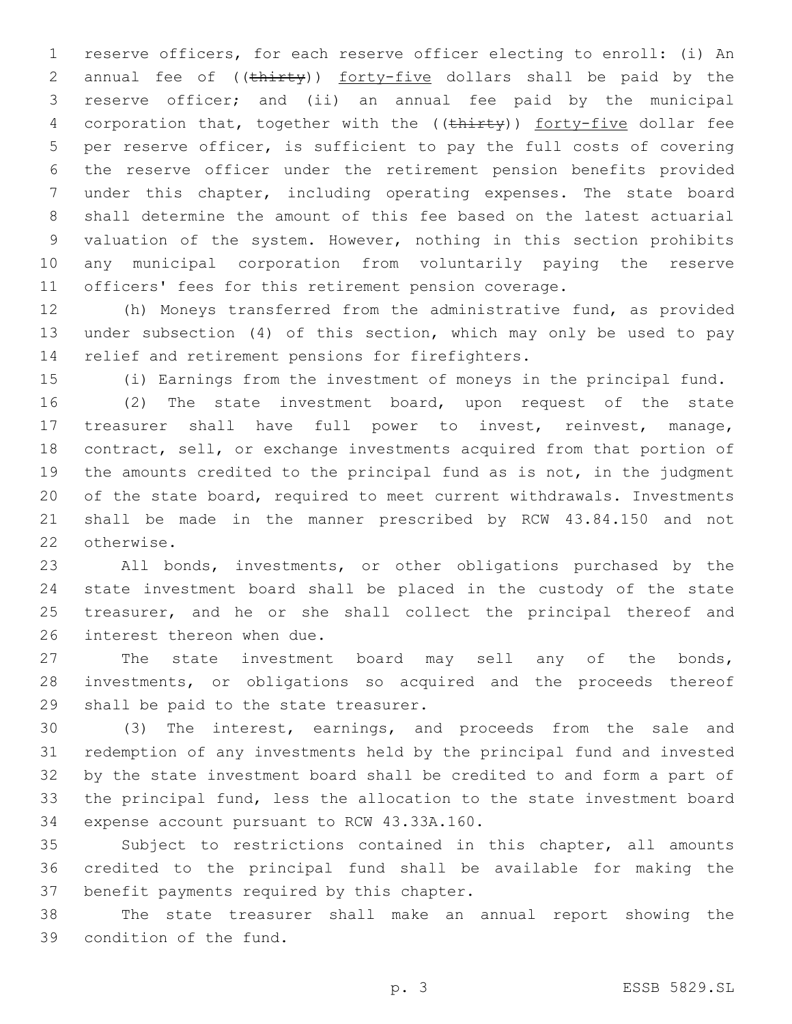reserve officers, for each reserve officer electing to enroll: (i) An 2 annual fee of ((thirty)) forty-five dollars shall be paid by the reserve officer; and (ii) an annual fee paid by the municipal 4 corporation that, together with the ((thirty)) forty-five dollar fee per reserve officer, is sufficient to pay the full costs of covering the reserve officer under the retirement pension benefits provided under this chapter, including operating expenses. The state board shall determine the amount of this fee based on the latest actuarial valuation of the system. However, nothing in this section prohibits any municipal corporation from voluntarily paying the reserve officers' fees for this retirement pension coverage.

 (h) Moneys transferred from the administrative fund, as provided under subsection (4) of this section, which may only be used to pay 14 relief and retirement pensions for firefighters.

(i) Earnings from the investment of moneys in the principal fund.

 (2) The state investment board, upon request of the state treasurer shall have full power to invest, reinvest, manage, contract, sell, or exchange investments acquired from that portion of the amounts credited to the principal fund as is not, in the judgment of the state board, required to meet current withdrawals. Investments shall be made in the manner prescribed by RCW 43.84.150 and not 22 otherwise.

 All bonds, investments, or other obligations purchased by the state investment board shall be placed in the custody of the state 25 treasurer, and he or she shall collect the principal thereof and 26 interest thereon when due.

 The state investment board may sell any of the bonds, investments, or obligations so acquired and the proceeds thereof 29 shall be paid to the state treasurer.

 (3) The interest, earnings, and proceeds from the sale and redemption of any investments held by the principal fund and invested by the state investment board shall be credited to and form a part of the principal fund, less the allocation to the state investment board 34 expense account pursuant to RCW 43.33A.160.

 Subject to restrictions contained in this chapter, all amounts credited to the principal fund shall be available for making the 37 benefit payments required by this chapter.

 The state treasurer shall make an annual report showing the 39 condition of the fund.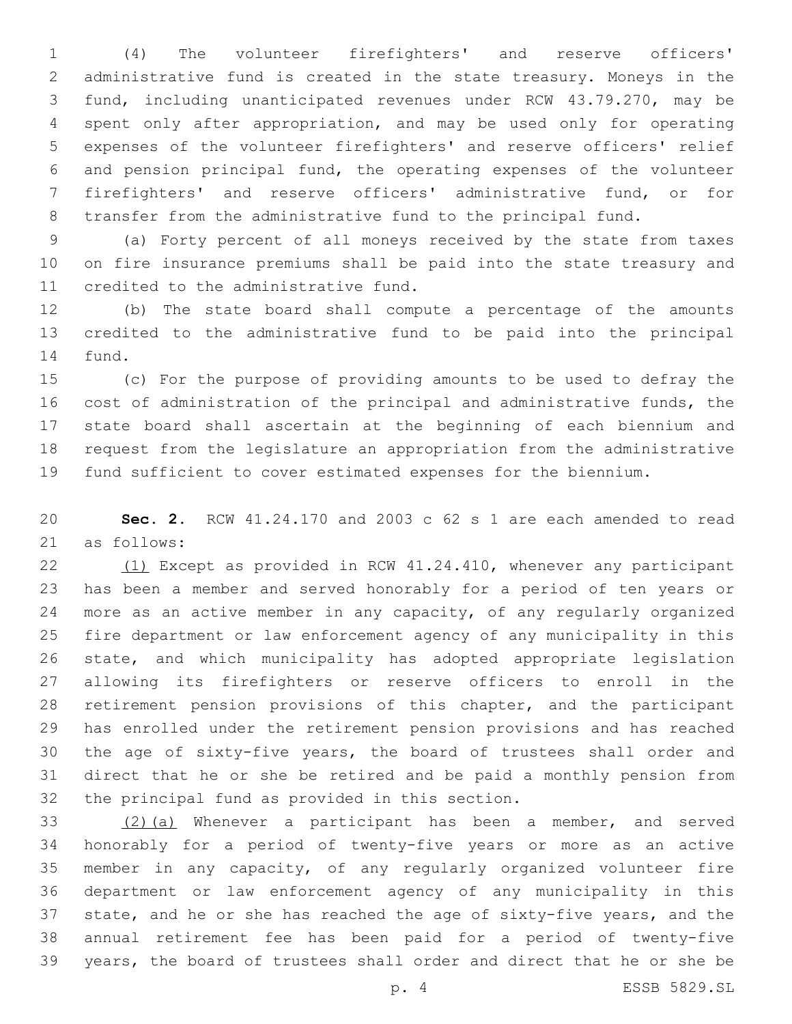(4) The volunteer firefighters' and reserve officers' administrative fund is created in the state treasury. Moneys in the fund, including unanticipated revenues under RCW 43.79.270, may be spent only after appropriation, and may be used only for operating expenses of the volunteer firefighters' and reserve officers' relief and pension principal fund, the operating expenses of the volunteer firefighters' and reserve officers' administrative fund, or for transfer from the administrative fund to the principal fund.

 (a) Forty percent of all moneys received by the state from taxes on fire insurance premiums shall be paid into the state treasury and 11 credited to the administrative fund.

 (b) The state board shall compute a percentage of the amounts credited to the administrative fund to be paid into the principal 14 fund.

 (c) For the purpose of providing amounts to be used to defray the cost of administration of the principal and administrative funds, the state board shall ascertain at the beginning of each biennium and request from the legislature an appropriation from the administrative fund sufficient to cover estimated expenses for the biennium.

 **Sec. 2.** RCW 41.24.170 and 2003 c 62 s 1 are each amended to read 21 as follows:

 (1) Except as provided in RCW 41.24.410, whenever any participant has been a member and served honorably for a period of ten years or more as an active member in any capacity, of any regularly organized fire department or law enforcement agency of any municipality in this state, and which municipality has adopted appropriate legislation allowing its firefighters or reserve officers to enroll in the retirement pension provisions of this chapter, and the participant has enrolled under the retirement pension provisions and has reached the age of sixty-five years, the board of trustees shall order and direct that he or she be retired and be paid a monthly pension from 32 the principal fund as provided in this section.

 (2)(a) Whenever a participant has been a member, and served honorably for a period of twenty-five years or more as an active member in any capacity, of any regularly organized volunteer fire department or law enforcement agency of any municipality in this state, and he or she has reached the age of sixty-five years, and the annual retirement fee has been paid for a period of twenty-five years, the board of trustees shall order and direct that he or she be

p. 4 ESSB 5829.SL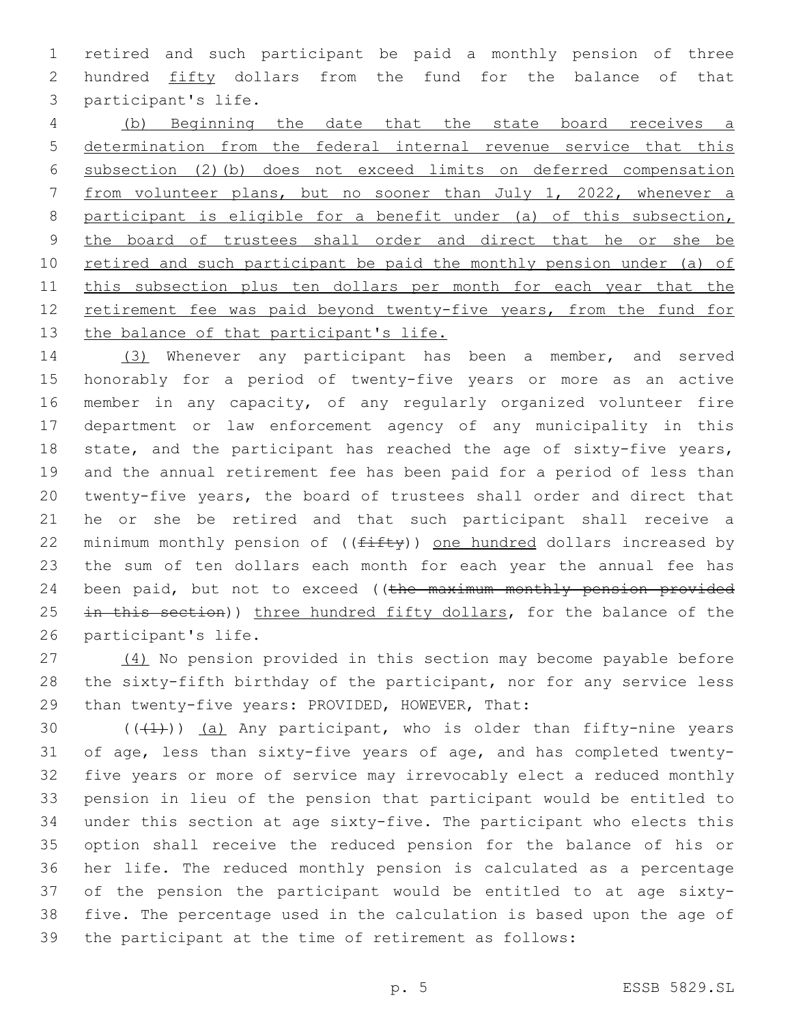1 retired and such participant be paid a monthly pension of three 2 hundred fifty dollars from the fund for the balance of that 3 participant's life.

4 (b) Beginning the date that the state board receives a 5 determination from the federal internal revenue service that this 6 subsection (2)(b) does not exceed limits on deferred compensation 7 from volunteer plans, but no sooner than July 1, 2022, whenever a 8 participant is eligible for a benefit under (a) of this subsection, 9 the board of trustees shall order and direct that he or she be 10 retired and such participant be paid the monthly pension under (a) of 11 this subsection plus ten dollars per month for each year that the 12 retirement fee was paid beyond twenty-five years, from the fund for 13 the balance of that participant's life.

14 (3) Whenever any participant has been a member, and served 15 honorably for a period of twenty-five years or more as an active 16 member in any capacity, of any regularly organized volunteer fire 17 department or law enforcement agency of any municipality in this 18 state, and the participant has reached the age of sixty-five years, 19 and the annual retirement fee has been paid for a period of less than 20 twenty-five years, the board of trustees shall order and direct that 21 he or she be retired and that such participant shall receive a 22 minimum monthly pension of (( $f$ ifty)) one hundred dollars increased by 23 the sum of ten dollars each month for each year the annual fee has 24 been paid, but not to exceed ((the maximum monthly pension provided 25 in this section)) three hundred fifty dollars, for the balance of the 26 participant's life.

27 (4) No pension provided in this section may become payable before 28 the sixty-fifth birthday of the participant, nor for any service less 29 than twenty-five years: PROVIDED, HOWEVER, That:

 $((+1))$  (a) Any participant, who is older than fifty-nine years of age, less than sixty-five years of age, and has completed twenty- five years or more of service may irrevocably elect a reduced monthly pension in lieu of the pension that participant would be entitled to under this section at age sixty-five. The participant who elects this option shall receive the reduced pension for the balance of his or her life. The reduced monthly pension is calculated as a percentage of the pension the participant would be entitled to at age sixty- five. The percentage used in the calculation is based upon the age of the participant at the time of retirement as follows: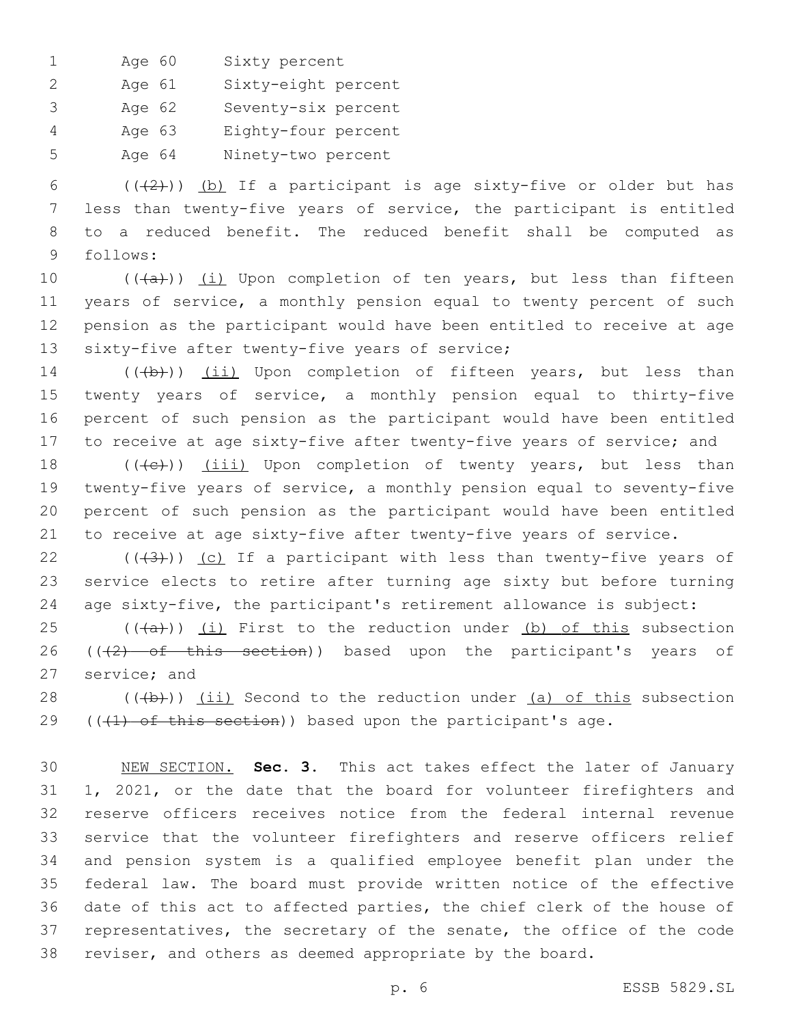1 Age 60 Sixty percent

2 Age 61 Sixty-eight percent

3 Age 62 Seventy-six percent

4 Age 63 Eighty-four percent

5 Age 64 Ninety-two percent

6 ( $(\frac{1}{2})$ ) (b) If a participant is age sixty-five or older but has 7 less than twenty-five years of service, the participant is entitled 8 to a reduced benefit. The reduced benefit shall be computed as 9 follows:

 $((+a))$   $(i)$  Upon completion of ten years, but less than fifteen years of service, a monthly pension equal to twenty percent of such pension as the participant would have been entitled to receive at age 13 sixty-five after twenty-five years of service;

14 (((b))) (ii) Upon completion of fifteen years, but less than twenty years of service, a monthly pension equal to thirty-five percent of such pension as the participant would have been entitled to receive at age sixty-five after twenty-five years of service; and

18 (((e)) (iii) Upon completion of twenty years, but less than twenty-five years of service, a monthly pension equal to seventy-five percent of such pension as the participant would have been entitled to receive at age sixty-five after twenty-five years of service.

22  $((+3))$  (c) If a participant with less than twenty-five years of 23 service elects to retire after turning age sixty but before turning 24 age sixty-five, the participant's retirement allowance is subject:

 $25$  (( $(a+b)$ ) (i) First to the reduction under (b) of this subsection 26 ( $(2)$  of this section)) based upon the participant's years of 27 service; and

28  $((+b))$   $(i)$  Second to the reduction under  $(a)$  of this subsection 29 ( $($  ( $+1$ ) of this section)) based upon the participant's age.

 NEW SECTION. **Sec. 3.** This act takes effect the later of January 1, 2021, or the date that the board for volunteer firefighters and reserve officers receives notice from the federal internal revenue service that the volunteer firefighters and reserve officers relief and pension system is a qualified employee benefit plan under the federal law. The board must provide written notice of the effective date of this act to affected parties, the chief clerk of the house of representatives, the secretary of the senate, the office of the code reviser, and others as deemed appropriate by the board.